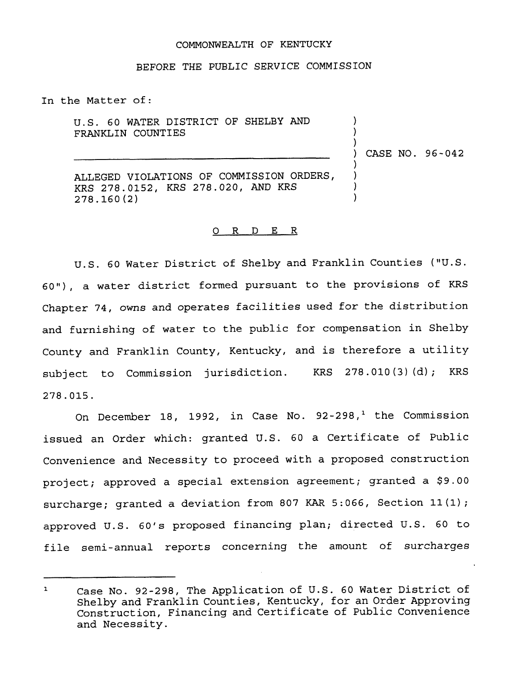## COMMONWEALTH OF KENTUCKY

### BEFORE THE PUBLIC SERUICE COMMISSION

In the Matter of:

U.S. 60 WATER DISTRICT OF SHELBY AND FRANKLIN COUNTIES

) CASE NO. 96-042

) )  $\left\{ \begin{array}{c} 1 \end{array} \right\}$ 

) ) ) )

ALLEGED VIOLATIONS OF COMMISSION ORDERS, KRS 278.0152, KRS 278.020, AND KRS 278. 160 (2)

### 0 R <sup>D</sup> E R

U.S. <sup>60</sup> Water District of Shelby and Franklin Counties ("V.S. 60"), a water district formed pursuant to the provisions of KRS Chapter 74, owns and operates facilities used for the distribution and furnishing of water to the public for compensation in Shelby County and Franklin County, Kentucky, and is therefore <sup>a</sup> utility subject to Commission jurisdiction. KRS 278.010(3)(d); KRS 278.015.

On December 18, 1992, in Case No.  $92-298$ ,<sup>1</sup> the Commission issued an Order which: granted U.S. <sup>60</sup> a Certificate of Public Convenience and Necessity to proceed with a proposed construction project; approved a special extension agreement; granted a \$9.00 surcharge; granted <sup>a</sup> deviation from <sup>807</sup> KAR 5:066, Section 11(1); approved U.S. 60's proposed financing plan; directed U.S. <sup>60</sup> to file semi-annual reports concerning the amount of surcharges

Case No. 92-298, The Application of U.S. <sup>60</sup> Water District of  $\mathbf{1}$ Shelby and Franklin Counties, Kentucky, for an Order Approving Construction, Financing and Certificate of Public Convenience and Necessity.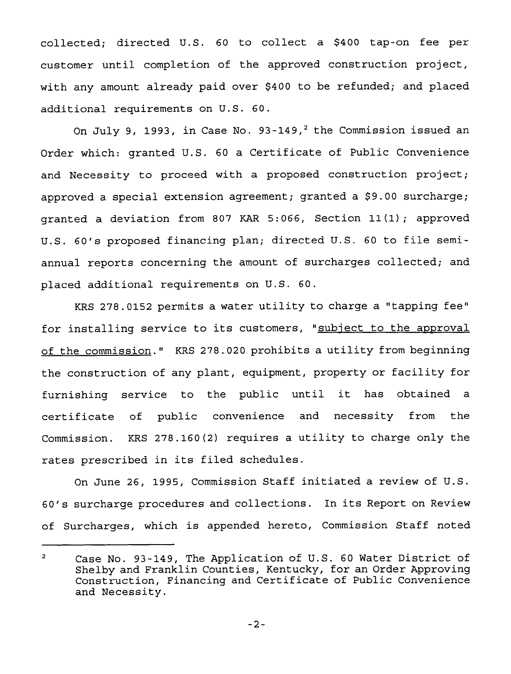collected; directed U.S. 60 to collect a \$400 tap-on fee per customer until completion of the approved construction project, with any amount already paid over \$400 to be refunded; and placed additional requirements on U.S. 60.

On July 9, 1993, in Case No. 93-149, $^2$  the Commission issued an Order which: granted U.S. 60 a Certificate of Public Convenience and Necessity to proceed with a proposed construction project; approved a special extension agreement; granted a  $$9.00$  surcharge; granted a deviation from <sup>807</sup> KAR 5:066, Section 11{1);approved U.S. 60's proposed financing plan; directed U.S. <sup>60</sup> to file semiannual reports concerning the amount of surcharges collected; and placed additional requirements on U.S. 60.

KRS 278.0152 permits a water utility to charge a "tapping fee" for installing service to its customers, "subject to the approval of the commission." KRS 278.020 prohibits a utility from beginning the construction of any plant, equipment, property or facility for furnishing service to the public until it has obtained <sup>a</sup> certificate of public convenience and necessity from the Commission. KRS 278.160{2) requires a utility to charge only the rates prescribed in its filed schedules.

On June 26, 1995, Commission Staff initiated a review of U.S. 60's surcharge procedures and collections. In its Report on Review of Surcharges, which is appended hereto, Commission Staff noted

 $\overline{2}$ Case No. 93-149, The Application of U.S. 60 Water District of Shelby and Franklin Counties, Kentucky, for an Order Approving Construction, Financing and Certificate of Public Convenience and Necessity.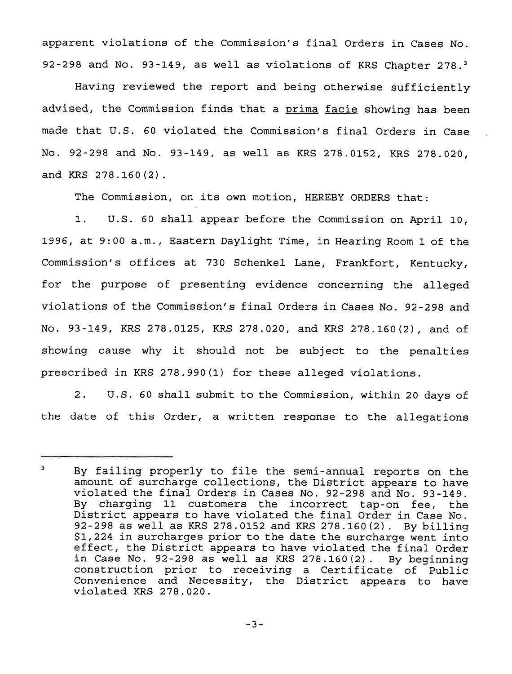apparent violations of the Commission's final Orders in Cases No. 92-298 and No. 93-149, as well as violations of KRS Chapter  $278<sup>3</sup>$ 

Having reviewed the report and being otherwise sufficiently advised, the Commission finds that a prima facie showing has been made that U.S. 60 violated the Commission's final Orders in Case No. 92-298 and No. 93-149, as well as KRS 278.0152, KRS 278.020, and KRS 278.160(2).

The Commission, on its own motion, HEREBY ORDERS that:

1. U.S. <sup>60</sup> shall appear before the Commission on April 10, 1996, at 9:00 a.m., Eastern Daylight Time, in Hearing Room 1 of the Commission's offices at 730 Schenkel Lane, Frankfort, Kentucky, for the purpose of presenting evidence concerning the alleged violations of the Commission's final Orders in Cases No. 92-298 and No. 93-149, KRS 278.0125, KRS 278.020, and KRS 278.160(2), and of showing cause why it should not be subject to the penalties prescribed in KRS 278.990(1) for these alleged violations.

2. U.S. 60 shall submit to the Commission, within 20 days of the date of this Order, a written response to the allegations

 $\overline{\mathbf{3}}$ By failing properly to file the semi-annual reports on the amount of surcharge collections, the District appears to have violated the final Orders in Cases No. 92-298 and No. 93-149. By charging <sup>11</sup> customers the incorrect tap-on fee, the District appears to have violated the final Order in Case No. 92-298 as well as KRS 278.0152 and KRS 278.160(2). By billing \$ 1,224 in surcharges prior to the date the surcharge went into effect, the District appears to have violated the final Order in Case No. 92-298 as well as KRS 278.160(2). By beginning construction prior to receiving a Certificate of Public Convenience and Necessity, the District appears to have violated KRS 278.020.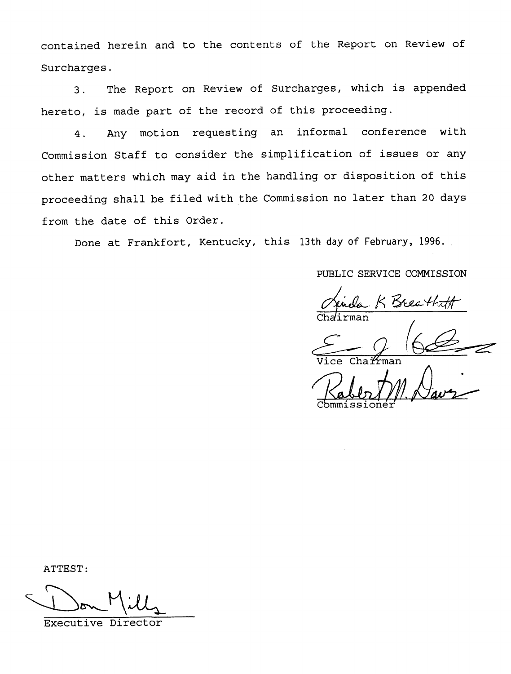contained herein and to the contents of the Report on Review of Surcharges.

3. The Report on Review of Surcharges, which is appended hereto, is made part of the record of this proceeding.

4. Any motion requesting an informal conference with Commission Staff to consider the simplification of issues or any other matters which may aid in the handling or disposition of this proceeding shall be filed with the Commission no later than <sup>20</sup> days from the date of this Order.

Done at Frankfort, Kentucky, this 13th day of February, 1996.

PUBLIC SERVICE COMMISSION

la K Breat

Chairma

Vice Chairma

ATTEST:

Executive Director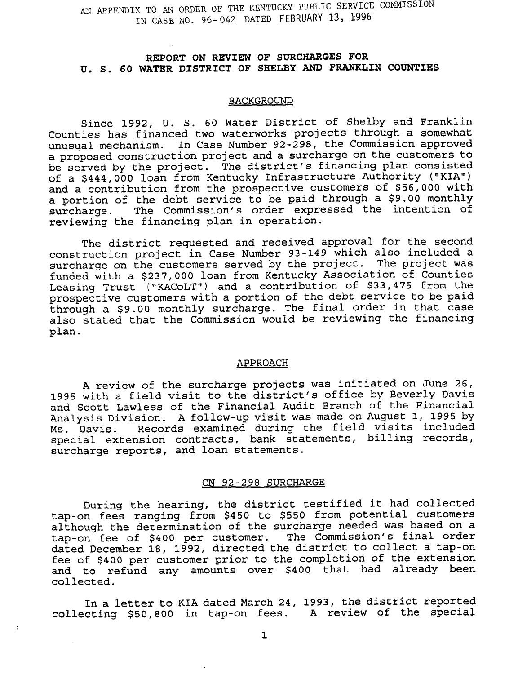AN APPENDIX TO AN ORDER OF THE KENTUCKY PUBLIC SERVICE COMMISSION IN CASE NO. 96-042 DATED FEBRUARY 13, 1996

# REPORT ON REVIEW OF SURCHARQES FOR U. S. 60 WATER DISTRICT OF SHELBY AND FRANKLIN COUNTIES

#### BACKGROUND

Since 1992, U. S. 60 Water District of Shelby and Franklin Counties has financed two waterworks projects through a somewhat unusual mechanism. In Case Number 92-298, the Commission approved a proposed construction project and a surcharge on the customers to be served by the project. The district's financing plan consisted of <sup>a</sup> \$444,000 loan from Kentucky Infrastructure Authority ("KIA") and a contribution from the prospective customers of \$56,000 with a portion of the debt service to be paid through a \$9.00 monthly<br>surcharge. The Commission's order expressed the intention of The Commission's order expressed the intention of reviewing the financing plan in operation.

The district requested and received approval for the second construction project in Case Number 93-149 which also included a surcharge on the customers served by the project. The project was funded with a \$237,000 loan from Kentucky Association of Counties Leasing Trust ("KACoLT") and a contribution of \$33,475 from the prospective customers with a portion of the debt service to be paid through a \$9.00 monthly surcharge. The final order in that case also stated that the Commission would be reviewing the financing plan.

### APPROACH

A review of the surcharge projects was initiated on June 26, 1995 with <sup>a</sup> field visit to the district's office by Beverly Davis and Scott Lawless of the Financial Audit Branch of the Financial Analysis Division. <sup>A</sup> follow-up visit was made on August 1, 1995 by Records examined during the field visits included special extension contracts, bank statements, billing records, surcharge reports, and loan statements.

# CN 92-298 SURCHARGE

During the hearing, the district testified it had collected tap-on fees ranging from \$450 to \$550 from potential customers although the determination of the surcharge needed was based on a tap-on fee of \$40Q per customer. The Commission's final order dated December 18, 1992, directed the district to collect <sup>a</sup> tap-on fee of \$400 per customer prior to the completion of the extension and to refund any amounts over \$400 that had already been collected.

In <sup>a</sup> letter to KIA dated March 24, 1993, the district reported collecting \$50,800 in tap-on fees. A review of the special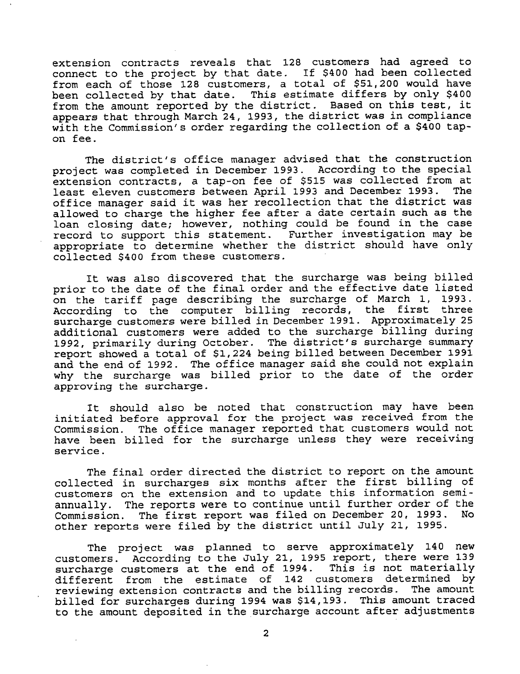extension contracts reveals that 128 customers had agreed to connect to the project by that date. If \$400 had been collected from each of those 128 customers, a total of \$51,200 would have been collected by that date. This estimate differs by only \$<sup>400</sup> from the amount reported by the district. Based on this test, it appears that through March 24, 1993, the district was in compliance with the Commission's order regarding the collection of a \$400 tapon fee.

The district's office manager advised that the construction project was completed in December 1993. According to the special extension contracts, a tap-on fee of \$515 was collected from at least eleven customers between April 1993 and December 1993. The office manager said it was her recollection that the district was allowed to charge the higher fee after a date certain such as the loan closing date; however, nothing could be found in the case record to support this statement. Further investigation may be appropriate to determine whether the district should have only collected \$400 from these customers.

It was also discovered that the surcharge was being billed prior to the date of the final order and the effective date listed on the tariff page describing the surcharge of March 1, 1993. On the tailit page describing the surcharge of hardn't, 1999<br>According to the computer billing records, the first three surcharge customers were billed in December 1991. Approximately <sup>25</sup> additional customers were added to the surcharge billing during 1992, primarily during October. The district's surcharge summary report showed a total of \$1,224 being billed between December 1991 and the end of 1992. The office manager said she could not explain why the surcharge was billed prior to the date of the order approving the surcharge.

It should also be noted that construction may have been initiated before approval for the project was received from the Commission. The office manager reported that customers would not have been billed for the surcharge unless they were receiving service.

The final order directed the district to report on the amount collected in surcharges six months after the first billing of customers on the extension and to update this information semiannually. The reports were to continue until further order of the<br>Commission The first report was filed on December 20, 1993. No Commission. The first report was filed on December 20, 1993. other reports were filed by the district until July 21, 1995.

The project was planned to serve approximately 140 new customers. According to the July 21, 1995 report, there were 139 surcharge customers at the end of 1994. This is not materially different from the estimate of 142 customers determined by reviewing extension contracts and the billing records. The amount billed for surcharges during 1994 was \$14,193. This amount traced to the amount deposited in the surcharge account after adjustments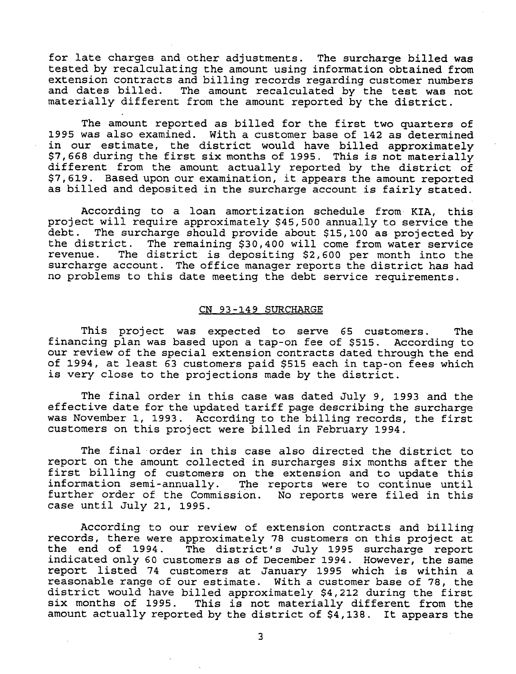for late charges and other adjustments. The surcharge billed was tested by recalculating the amount using information obtained from extension contracts and billing records regarding customer numbers<br>and dates billed. The amount recalculated by the test was not The amount recalculated by the test was not materially different from the amount reported by the district.

The amount reported as billed for the first two quarters of 1995 was also examined. With a customer base of 142 as determined in our estimate, the district would have billed approximately<br>\$7,668 during the first six months of 1995. This is not materially different from the amount actually reported by the district of \$7,619. Based upon our examination, it appears the amount reported as billed and deposited in the surcharge account is fairly stated.

According to <sup>a</sup> loan amortization schedule from KIA, this project will require approximately \$45,500 annually to service the debt. The surcharge should provide about \$15,100 as projected by<br>the district. The remaining \$30,400 will come from water service<br>revenue. The district is depositing \$2.600 per month into the The district is depositing \$2,600 per month into the surcharge account. The office manager reports the district has had no problems to this date meeting the debt service requirements.

## CN 93 —149 SURCHARGE

This project was expected to serve 65 customers. The financing plan was based upon a tap-on fee of \$515. According to<br>our review of the special extension contracts dated through the end of 1994, at least 63 customers paid \$515 each in tap-on fees which<br>is very close to the projections made by the district.

The final order in this case was dated July 9, <sup>1993</sup> and the effective date for the updated tariff page describing the surcharge was November 1, 1993. According to the billing records, the first customers on this project were billed in February 1994.

The final order in this case also directed the district to report on the amount collected in surcharges six months after the first billing of customers on the extension and to update this information semi-annually. The reports were to continue until further order of the Commission. No reports were filed in this case until July 21, 1995.

According to our review of extension contracts and billing records, there were approximately 78 customers on this project at<br>the end of 1994. The district's July 1995 surcharge report indicated only 60 customers as of December 1994. However, the same report listed 74 customers at January 1995 which is within a<br>reasonable range of our estimate. With a customer base of 78, the district would have billed approximately \$4,212 during the first<br>six months of 1995. This is not materially different from the amount actually reported by the district of \$4,138. It appears the

 $\overline{3}$